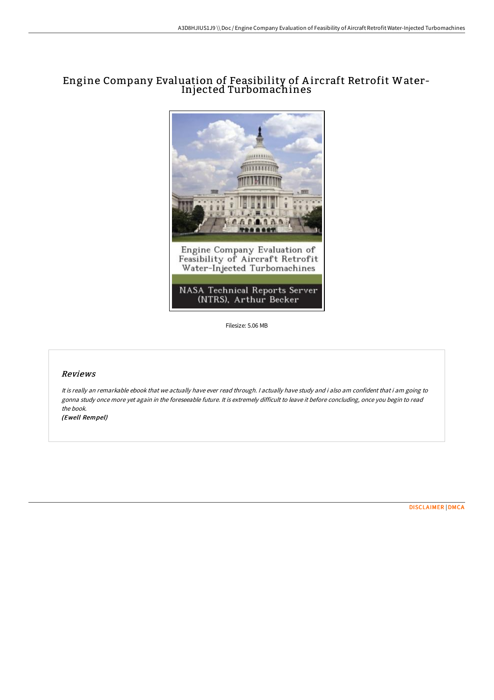## Engine Company Evaluation of Feasibility of A ircraft Retrofit Water-Injected Turbomachines



Filesize: 5.06 MB

## Reviews

It is really an remarkable ebook that we actually have ever read through. <sup>I</sup> actually have study and i also am confident that i am going to gonna study once more yet again in the foreseeable future. It is extremely difficult to leave it before concluding, once you begin to read the book.

(Ewell Rempel)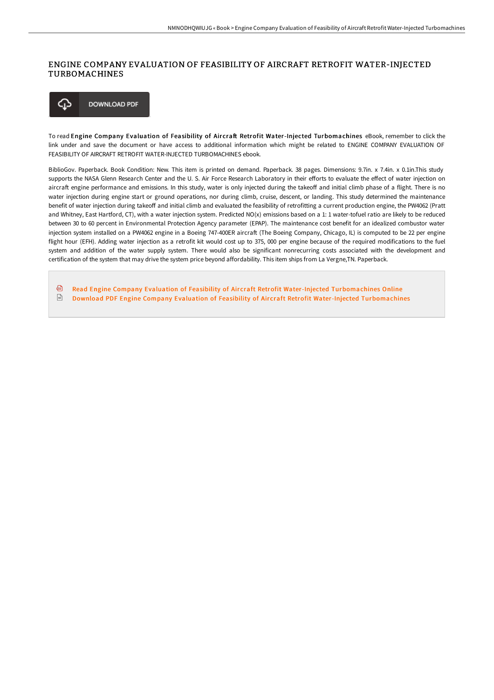## ENGINE COMPANY EVALUATION OF FEASIBILITY OF AIRCRAFT RETROFIT WATER-INJECTED TURBOMACHINES



To read Engine Company Evaluation of Feasibility of Aircraft Retrofit Water-Injected Turbomachines eBook, remember to click the link under and save the document or have access to additional information which might be related to ENGINE COMPANY EVALUATION OF FEASIBILITY OF AIRCRAFT RETROFIT WATER-INJECTED TURBOMACHINES ebook.

BiblioGov. Paperback. Book Condition: New. This item is printed on demand. Paperback. 38 pages. Dimensions: 9.7in. x 7.4in. x 0.1in.This study supports the NASA Glenn Research Center and the U. S. Air Force Research Laboratory in their efforts to evaluate the effect of water injection on aircraft engine performance and emissions. In this study, water is only injected during the takeoff and initial climb phase of a flight. There is no water injection during engine start or ground operations, nor during climb, cruise, descent, or landing. This study determined the maintenance benefit of water injection during takeoff and initial climb and evaluated the feasibility of retrofitting a current production engine, the PW4062 (Pratt and Whitney, East Hartford, CT), with a water injection system. Predicted NO(x) emissions based on a 1: 1 water-tofuel ratio are likely to be reduced between 30 to 60 percent in Environmental Protection Agency parameter (EPAP). The maintenance cost benefit for an idealized combustor water injection system installed on a PW4062 engine in a Boeing 747-400ER aircraft (The Boeing Company, Chicago, IL) is computed to be 22 per engine flight hour (EFH). Adding water injection as a retrofit kit would cost up to 375, 000 per engine because of the required modifications to the fuel system and addition of the water supply system. There would also be significant nonrecurring costs associated with the development and certification of the system that may drive the system price beyond affordability. This item ships from La Vergne,TN. Paperback.

日 Read Engine Company Evaluation of Feasibility of Aircraft Retrofit Water-Injected [Turbomachines](http://techno-pub.tech/engine-company-evaluation-of-feasibility-of-airc.html) Online  $\overline{\mathbb{R}^n}$ Download PDF Engine Company Evaluation of Feasibility of Aircraft Retrofit Water-Injected [Turbomachines](http://techno-pub.tech/engine-company-evaluation-of-feasibility-of-airc.html)